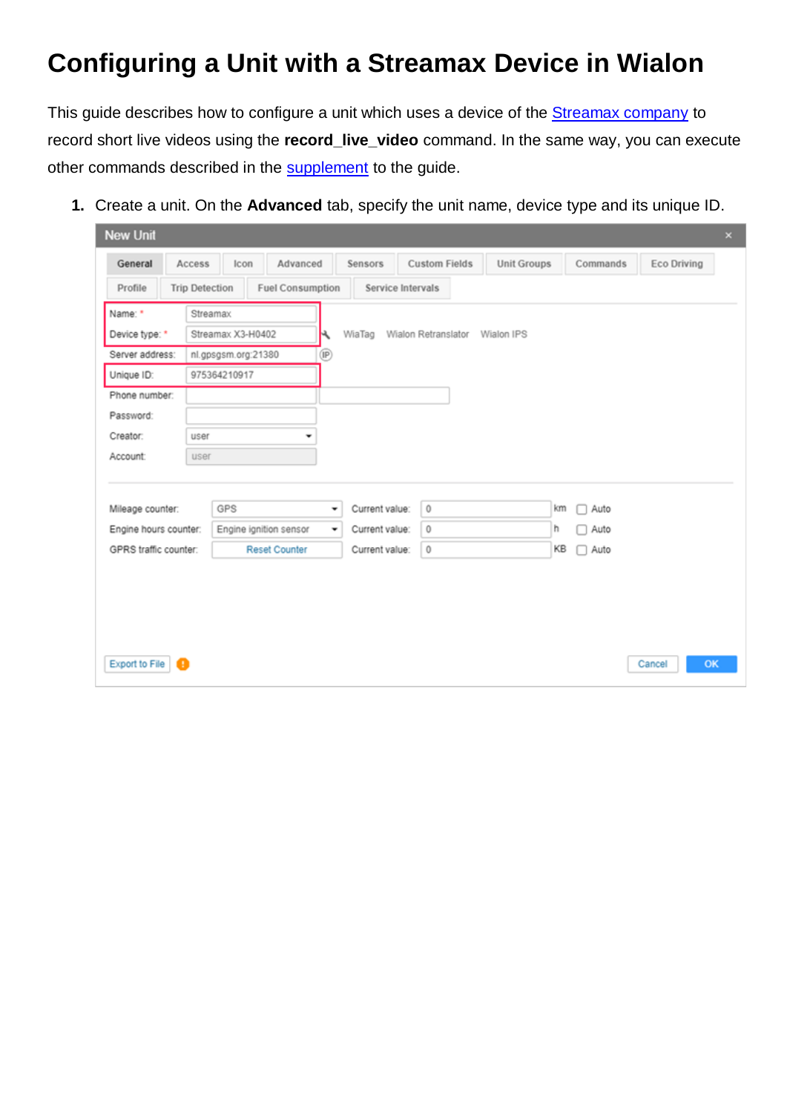## **Configuring a Unit with a Streamax Device in Wialon**

This guide describes how to configure a unit which uses a device of the **Streamax company** to record short live videos using the **record\_live\_video** command. In the same way, you can execute other commands described in the [supplement](#page-7-0) to the guide.

**1.** Create a unit. On the **Advanced** tab, specify the unit name, device type and its unique ID.

| <b>New Unit</b>            |                       |                     |                         |   |                |                                |                    |                 |             | $\times$ |
|----------------------------|-----------------------|---------------------|-------------------------|---|----------------|--------------------------------|--------------------|-----------------|-------------|----------|
| General                    | Access                | Icon                | Advanced                |   | Sensors        | <b>Custom Fields</b>           | <b>Unit Groups</b> | Commands        | Eco Driving |          |
| Profile                    | <b>Trip Detection</b> |                     | <b>Fuel Consumption</b> |   |                | Service Intervals              |                    |                 |             |          |
| Name: *                    |                       | Streamax            |                         |   |                |                                |                    |                 |             |          |
| Device type: *             |                       | Streamax X3-H0402   |                         | K | WiaTag         | Wialon Retranslator Wialon IPS |                    |                 |             |          |
| Server address:            |                       | nl.gpsgsm.org:21380 |                         | ® |                |                                |                    |                 |             |          |
| Unique ID:                 |                       | 975364210917        |                         |   |                |                                |                    |                 |             |          |
| Phone number:              |                       |                     |                         |   |                |                                |                    |                 |             |          |
| Password:                  |                       |                     |                         |   |                |                                |                    |                 |             |          |
| Creator:                   | user                  |                     | ۰                       |   |                |                                |                    |                 |             |          |
| Account:                   | user                  |                     |                         |   |                |                                |                    |                 |             |          |
|                            |                       |                     |                         |   |                |                                |                    |                 |             |          |
| Mileage counter:           |                       | GPS                 |                         | ٠ | Current value: | $\circ$                        |                    | km<br>Auto<br>□ |             |          |
| Engine hours counter:      |                       |                     | Engine ignition sensor  | ٠ | Current value: | 0                              | h                  | Auto            |             |          |
| GPRS traffic counter:      |                       |                     | <b>Reset Counter</b>    |   | Current value: | $\mathbb O$                    |                    | KB<br>Auto<br>П |             |          |
|                            |                       |                     |                         |   |                |                                |                    |                 |             |          |
|                            |                       |                     |                         |   |                |                                |                    |                 |             |          |
|                            |                       |                     |                         |   |                |                                |                    |                 |             |          |
|                            |                       |                     |                         |   |                |                                |                    |                 |             |          |
|                            |                       |                     |                         |   |                |                                |                    |                 |             |          |
| <b>Export to File</b><br>a |                       |                     |                         |   |                |                                |                    |                 | Cancel      | OK       |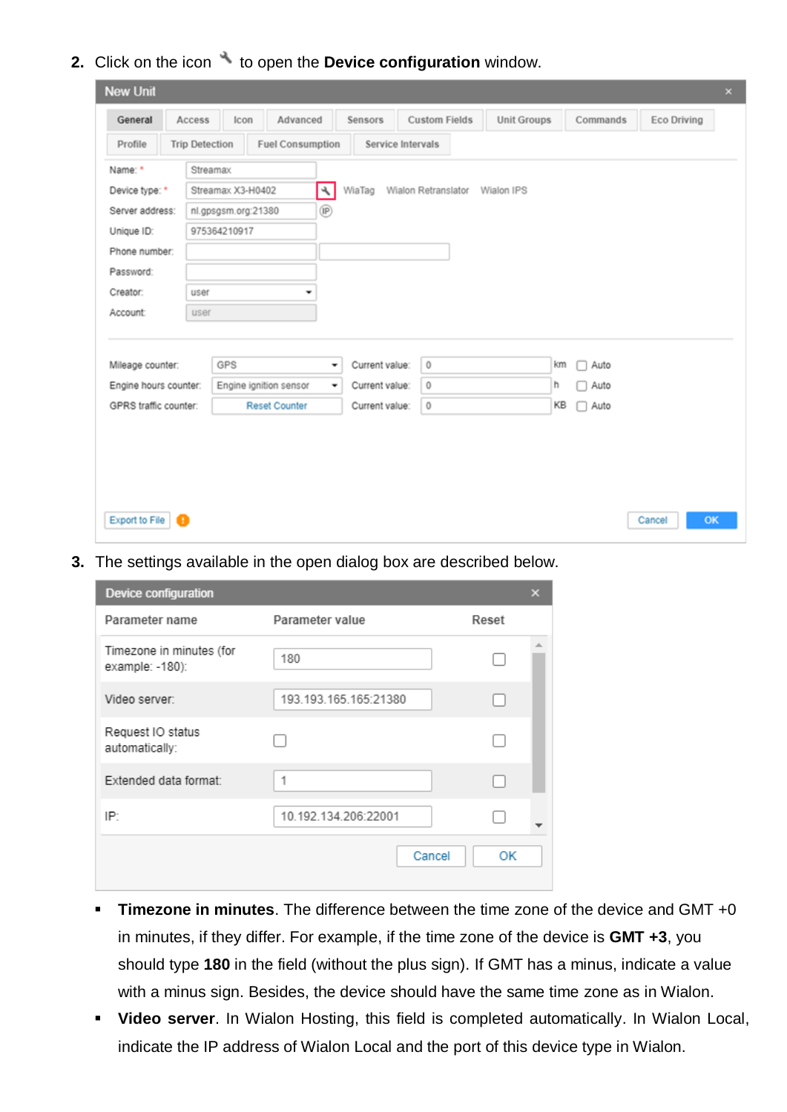**2.** Click on the icon  $\rightarrow$  to open the **Device configuration** window.

| <b>New Unit</b>       |                       |                     |                         |                |                |                                |                    |           |             | $\times$ |
|-----------------------|-----------------------|---------------------|-------------------------|----------------|----------------|--------------------------------|--------------------|-----------|-------------|----------|
| General               | Access                | Icon                | Advanced                |                | Sensors        | <b>Custom Fields</b>           | <b>Unit Groups</b> | Commands  | Eco Driving |          |
| Profile               | <b>Trip Detection</b> |                     | <b>Fuel Consumption</b> |                |                | Service Intervals              |                    |           |             |          |
| Name: *               |                       | Streamax            |                         |                |                |                                |                    |           |             |          |
| Device type: *        |                       | Streamax X3-H0402   |                         | ٩              | WiaTag         | Wialon Retranslator Wialon IPS |                    |           |             |          |
| Server address:       |                       | nl.gpsgsm.org:21380 |                         | $^{\circledR}$ |                |                                |                    |           |             |          |
| Unique ID:            |                       | 975364210917        |                         |                |                |                                |                    |           |             |          |
| Phone number:         |                       |                     |                         |                |                |                                |                    |           |             |          |
| Password:             |                       |                     |                         |                |                |                                |                    |           |             |          |
| Creator:              | user                  |                     | ۰                       |                |                |                                |                    |           |             |          |
| Account:              | user                  |                     |                         |                |                |                                |                    |           |             |          |
|                       |                       |                     |                         |                |                |                                |                    |           |             |          |
| Mileage counter:      |                       | GPS                 |                         | ۰              | Current value: | $\bf 0$                        | km                 | Auto      |             |          |
| Engine hours counter: |                       |                     | Engine ignition sensor  | ۰              | Current value: | 0                              | h                  | Auto      |             |          |
| GPRS traffic counter: |                       |                     | <b>Reset Counter</b>    |                | Current value: | $\circ$                        | KB                 | Auto<br>п |             |          |
|                       |                       |                     |                         |                |                |                                |                    |           |             |          |
|                       |                       |                     |                         |                |                |                                |                    |           |             |          |
|                       |                       |                     |                         |                |                |                                |                    |           |             |          |
|                       |                       |                     |                         |                |                |                                |                    |           |             |          |
|                       |                       |                     |                         |                |                |                                |                    |           |             |          |
| <b>Export to File</b> | ø                     |                     |                         |                |                |                                |                    |           | Cancel      | OK       |

**3.** The settings available in the open dialog box are described below.

| Device configuration                        |                       |       | × |
|---------------------------------------------|-----------------------|-------|---|
| Parameter name                              | Parameter value       | Reset |   |
| Timezone in minutes (for<br>example: -180): | 180                   |       |   |
| Video server:                               | 193.193.165.165:21380 |       |   |
| Request IO status<br>automatically:         |                       |       |   |
| Extended data format:                       | 1                     |       |   |
| IP:                                         | 10.192.134.206:22001  |       |   |
|                                             | Cancel                | OК    |   |

- **Timezone in minutes**. The difference between the time zone of the device and GMT +0 in minutes, if they differ. For example, if the time zone of the device is **GMT +3**, you should type **180** in the field (without the plus sign). If GMT has a minus, indicate a value with a minus sign. Besides, the device should have the same time zone as in Wialon.
- **Video server**. In Wialon Hosting, this field is completed automatically. In Wialon Local, indicate the IP address of Wialon Local and the port of this device type in Wialon.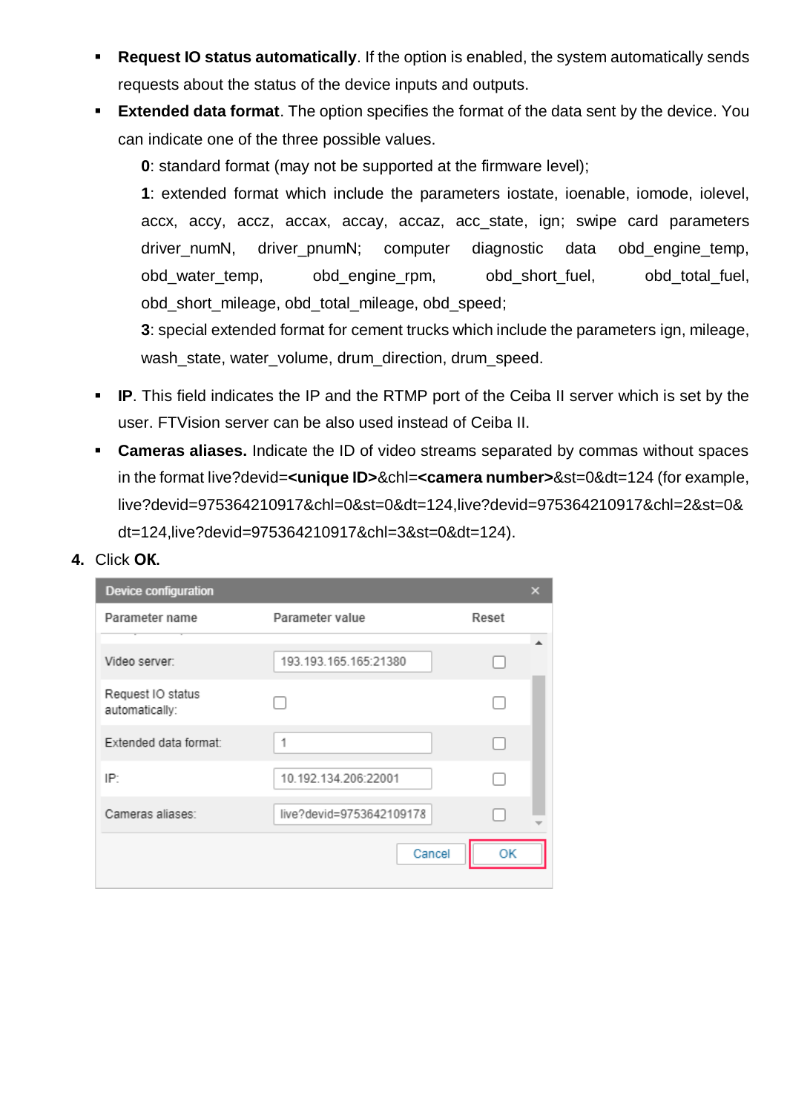- <span id="page-2-0"></span>▪ **Request IO status automatically**. If the option is enabled, the system automatically sends requests about the status of the device inputs and outputs.
- <span id="page-2-1"></span>**Extended data format.** The option specifies the format of the data sent by the device. You can indicate one of the three possible values.

**0**: standard format (may not be supported at the firmware level);

**1**: extended format which include the parameters iostate, ioenable, iomode, iolevel, accx, accy, accz, accax, accay, accaz, acc\_state, ign; swipe card parameters driver numN, driver pnumN; computer diagnostic data obd engine temp, obd\_water\_temp, obd\_engine\_rpm, obd\_short\_fuel, obd\_total\_fuel, obd\_short\_mileage, obd\_total\_mileage, obd\_speed;

**3**: special extended format for cement trucks which include the parameters ign, mileage, wash\_state, water\_volume, drum\_direction, drum\_speed.

- **IP.** This field indicates the IP and the RTMP port of the Ceiba II server which is set by the user. FTVision server can be also used instead of Ceiba II.
- **Cameras aliases.** Indicate the ID of video streams separated by commas without spaces in the format live?devid=**<unique ID>**&chl=**<camera number>**&st=0&dt=124 (for example, live?devid=975364210917&chl=0&st=0&dt=124,live?devid=975364210917&chl=2&st=0& dt=124,live?devid=975364210917&chl=3&st=0&dt=124).
- **4.** Click **ОК.**

| <b>Device configuration</b>         |                          |       | × |
|-------------------------------------|--------------------------|-------|---|
| Parameter name                      | Parameter value          | Reset |   |
|                                     |                          |       |   |
| Video server:                       | 193.193.165.165:21380    |       |   |
| Request IO status<br>automatically: |                          |       |   |
| Extended data format:               | 1                        |       |   |
| IP.                                 | 10.192.134.206:22001     |       |   |
| Cameras aliases:                    | live?devid=9753642109178 |       |   |
|                                     | Cancel                   | ОK    |   |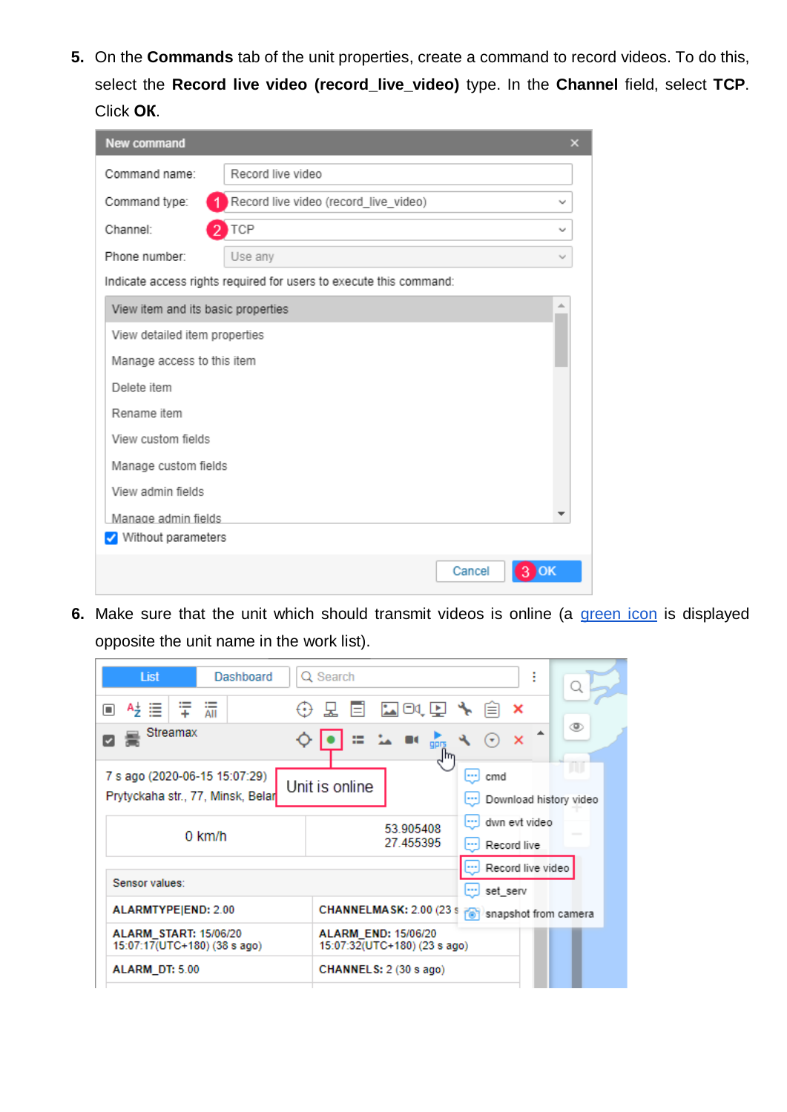**5.** On the **Commands** tab of the unit properties, create a command to record videos. To do this, select the **Record live video (record\_live\_video)** type. In the **Channel** field, select **TCP**. Click **ОК**.

| New command                        |                                                                    | ×            |  |  |  |
|------------------------------------|--------------------------------------------------------------------|--------------|--|--|--|
| Command name:                      | Record live video                                                  |              |  |  |  |
| Command type:                      | Record live video (record_live_video)                              |              |  |  |  |
| Channel:                           | TCP                                                                | $\checkmark$ |  |  |  |
| Phone number:                      | Use any                                                            |              |  |  |  |
|                                    | Indicate access rights required for users to execute this command: |              |  |  |  |
| View item and its basic properties |                                                                    | ۸            |  |  |  |
| View detailed item properties      |                                                                    |              |  |  |  |
| Manage access to this item         |                                                                    |              |  |  |  |
| Delete item                        |                                                                    |              |  |  |  |
| Rename item                        |                                                                    |              |  |  |  |
| View custom fields                 |                                                                    |              |  |  |  |
| Manage custom fields               |                                                                    |              |  |  |  |
| View admin fields                  |                                                                    |              |  |  |  |
| Manage admin fields                |                                                                    |              |  |  |  |
| V Without parameters               |                                                                    |              |  |  |  |
|                                    | Cancel                                                             |              |  |  |  |

**6.** Make sure that the unit which should transmit videos is online (a [green icon](https://docs.wialon.com/en/hosting/user/monitor/icons#connection_state) is displayed opposite the unit name in the work list).

| Dashboard<br>List                                                  | I<br>Q Search                                                                     |
|--------------------------------------------------------------------|-----------------------------------------------------------------------------------|
| $\bar{}$<br>□<br>$=$<br>٠<br>AII                                   | 国の面才見<br>Ei<br>×                                                                  |
| Streamax                                                           | ◉<br>▲<br>□ 14 ■ 品<br>$\boldsymbol{\mathsf{x}}$<br>$(\star)$                      |
| 7 s ago (2020-06-15 15:07:29)<br>Prytyckaha str., 77, Minsk, Belar | w<br>$\Box$ cmd<br>Unit is online<br>Download history video                       |
| $0$ km/h                                                           | dwn evt video<br>$\left  \cdots \right $<br>53.905408<br>27.455395<br>Record live |
| Sensor values:                                                     | Record live video<br>set_serv از ا                                                |
| ALARMTYPE END: 2.00                                                | <b>CHANNELMASK: 2.00 (23 s)</b><br>[ <sup>6</sup> ] snapshot from camera          |
| <b>ALARM START: 15/06/20</b><br>15:07:17(UTC+180) (38 s ago)       | <b>ALARM END: 15/06/20</b><br>15:07:32(UTC+180) (23 s ago)                        |
| ALARM DT: 5.00                                                     | CHANNELS: 2 (30 s ago)                                                            |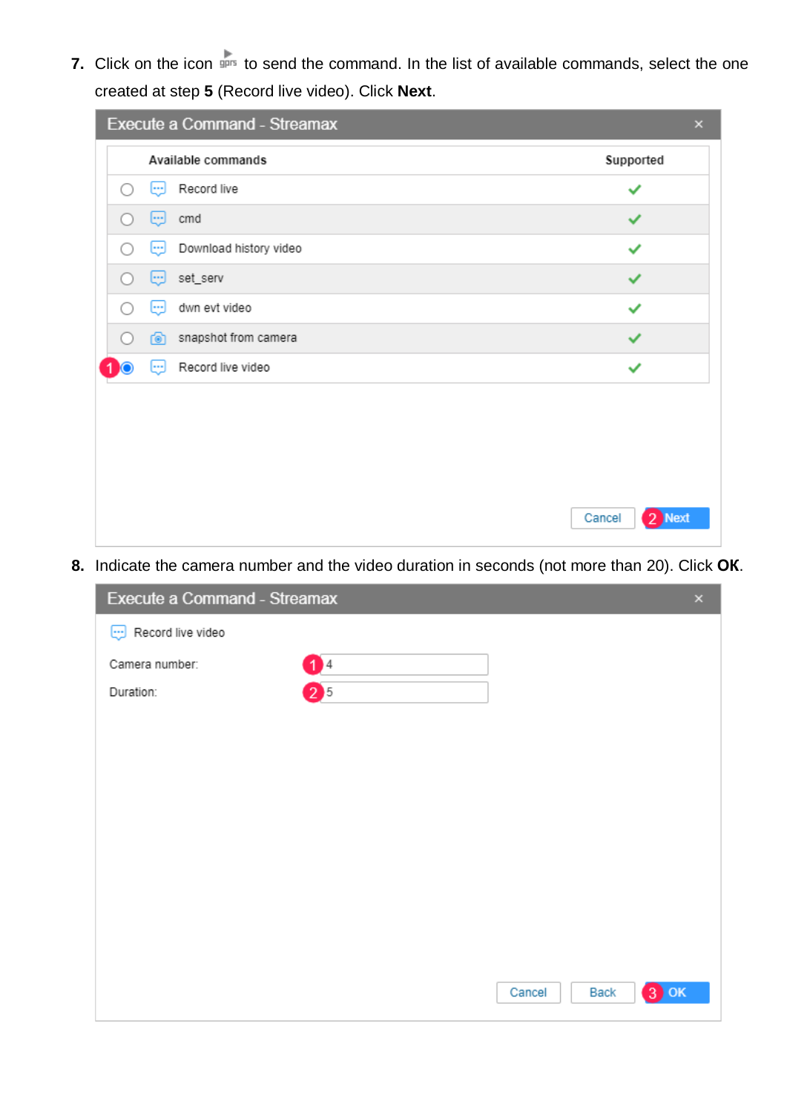**7.** Click on the icon spect to send the command. In the list of available commands, select the one created at step **5** (Record live video). Click **Next**.

| Execute a Command - Streamax        | $\mathsf{x}$     |
|-------------------------------------|------------------|
| Available commands                  | Supported        |
| Record live<br>لتتا<br>( )          |                  |
| Θ<br>cmd                            | ✓                |
| Download history video<br>لتتا<br>∩ | ✓                |
| set_serv<br>لتتا<br>( )             |                  |
| dwn evt video<br>⊕<br>∩             | ✓                |
| snapshot from camera<br>6           |                  |
| Record live video<br>⊕              | ✓                |
|                                     |                  |
|                                     | Cancel<br>2 Next |

**8.** Indicate the camera number and the video duration in seconds (not more than 20). Click **ОК**.

| Execute a Command - Streamax       |         | $\pmb{\times}$  |
|------------------------------------|---------|-----------------|
| $\boxed{\cdots}$ Record live video |         |                 |
| Camera number:                     | 04      |                 |
| Duration:                          | $2^{5}$ |                 |
|                                    |         |                 |
|                                    |         |                 |
|                                    |         |                 |
|                                    |         |                 |
|                                    |         |                 |
|                                    |         |                 |
|                                    |         |                 |
|                                    |         |                 |
|                                    | Cancel  | $3)$ OK<br>Back |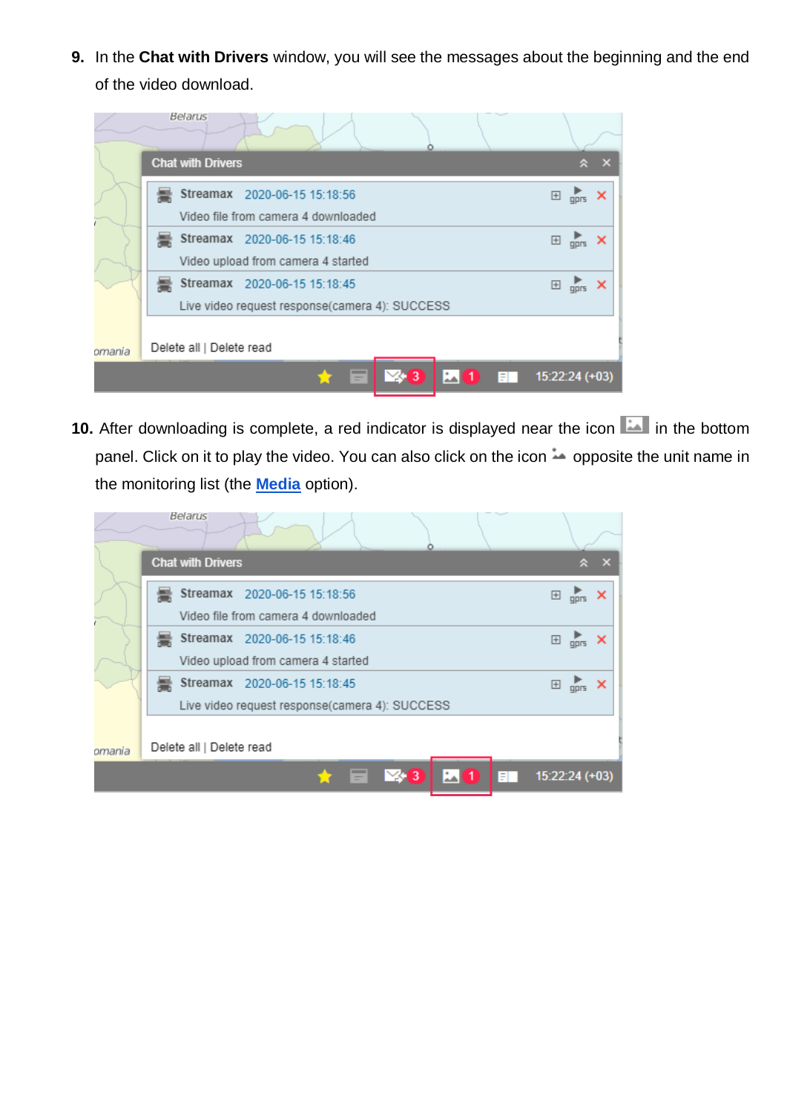**9.** In the **Chat with Drivers** window, you will see the messages about the beginning and the end of the video download.

|        | Belarus                  |                                                |   |                 |                          |            |                                                                                                                                                                                                                                                                                                                     |                           |
|--------|--------------------------|------------------------------------------------|---|-----------------|--------------------------|------------|---------------------------------------------------------------------------------------------------------------------------------------------------------------------------------------------------------------------------------------------------------------------------------------------------------------------|---------------------------|
|        | <b>Chat with Drivers</b> |                                                |   |                 |                          |            | 슷                                                                                                                                                                                                                                                                                                                   | $\mathbf{x}$              |
|        |                          | Streamax 2020-06-15 15:18:56                   |   |                 |                          | $\boxplus$ | $\overline{g}$                                                                                                                                                                                                                                                                                                      | $\boldsymbol{\mathsf{x}}$ |
|        |                          | Video file from camera 4 downloaded            |   |                 |                          |            |                                                                                                                                                                                                                                                                                                                     |                           |
|        |                          | Streamax 2020-06-15 15:18:46                   |   |                 |                          | $\boxplus$ | $\frac{1}{\pi}$ X                                                                                                                                                                                                                                                                                                   |                           |
|        |                          | Video upload from camera 4 started             |   |                 |                          |            |                                                                                                                                                                                                                                                                                                                     |                           |
|        |                          | Streamax 2020-06-15 15:18:45                   |   |                 |                          | $\boxplus$ | $\frac{1}{4}$ $\frac{1}{2}$ $\frac{1}{2}$ $\frac{1}{2}$ $\frac{1}{2}$ $\frac{1}{2}$ $\frac{1}{2}$ $\frac{1}{2}$ $\frac{1}{2}$ $\frac{1}{2}$ $\frac{1}{2}$ $\frac{1}{2}$ $\frac{1}{2}$ $\frac{1}{2}$ $\frac{1}{2}$ $\frac{1}{2}$ $\frac{1}{2}$ $\frac{1}{2}$ $\frac{1}{2}$ $\frac{1}{2}$ $\frac{1}{2}$ $\frac{1}{2}$ |                           |
|        |                          | Live video request response(camera 4): SUCCESS |   |                 |                          |            |                                                                                                                                                                                                                                                                                                                     |                           |
| omania | Delete all   Delete read |                                                |   |                 |                          |            |                                                                                                                                                                                                                                                                                                                     |                           |
|        |                          |                                                | E | $\frac{1}{2}$ 3 | $\mathbf{L}(\mathbf{1})$ | <b>ER</b>  | $15:22:24 (+03)$                                                                                                                                                                                                                                                                                                    |                           |

10. After downloading is complete, a red indicator is displayed near the icon in the bottom panel. Click on it to play the video. You can also click on the icon  $\rightarrow$  opposite the unit name in the monitoring list (the **[Media](https://docs.wialon.com/en/hosting/user/monitor/icons#media)** option).

|        | Belarus                  |                                                |                                            |            |                    |                           |
|--------|--------------------------|------------------------------------------------|--------------------------------------------|------------|--------------------|---------------------------|
|        | <b>Chat with Drivers</b> |                                                |                                            |            |                    |                           |
|        |                          | Streamax 2020-06-15 15:18:56                   |                                            |            | $\Box$ gprs        | $\boldsymbol{\mathsf{x}}$ |
|        |                          | Video file from camera 4 downloaded            |                                            |            |                    |                           |
|        |                          | Streamax 2020-06-15 15:18:46                   |                                            |            | $\Box$ gprs        | ×                         |
|        |                          | Video upload from camera 4 started             |                                            |            |                    |                           |
|        |                          | Streamax 2020-06-15 15:18:45                   |                                            |            | $\boxplus$<br>gprs |                           |
|        |                          | Live video request response(camera 4): SUCCESS |                                            |            |                    |                           |
| omania | Delete all   Delete read |                                                |                                            |            |                    |                           |
|        |                          | Ξ                                              | $\mathbb{Z}$ 3<br>$\mathbf{L}(\mathbf{1})$ | <b>EXI</b> | $15:22:24 (+03)$   |                           |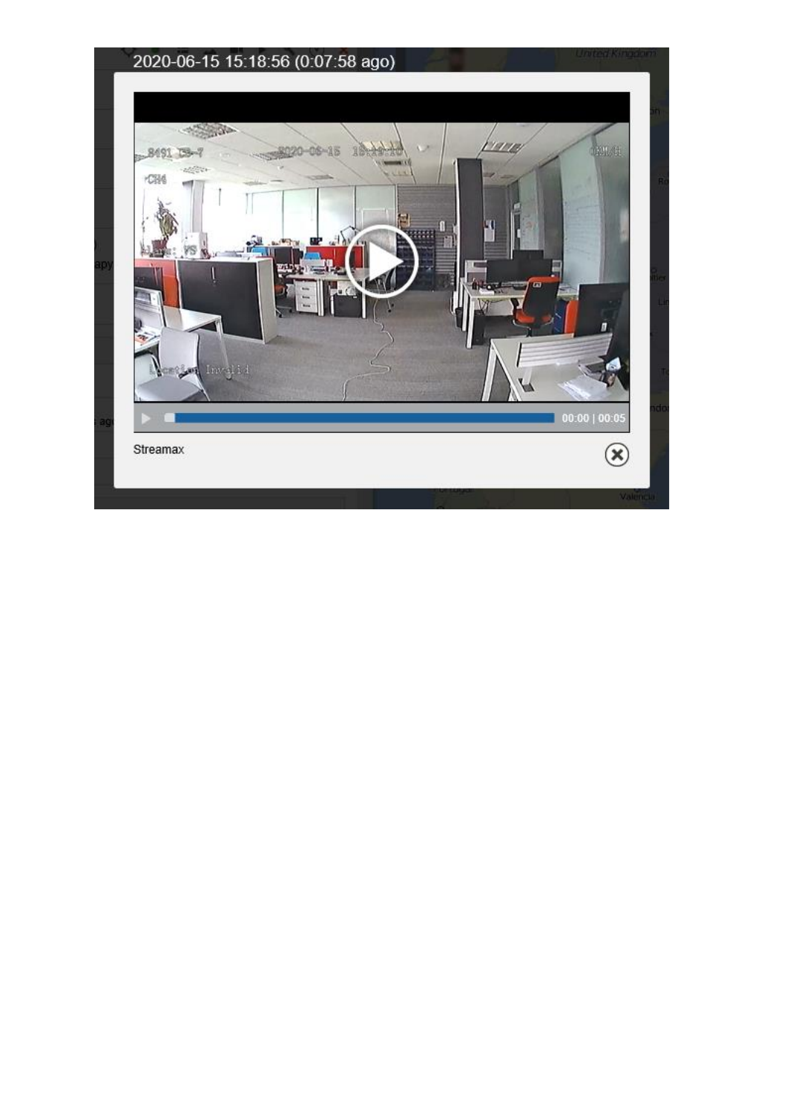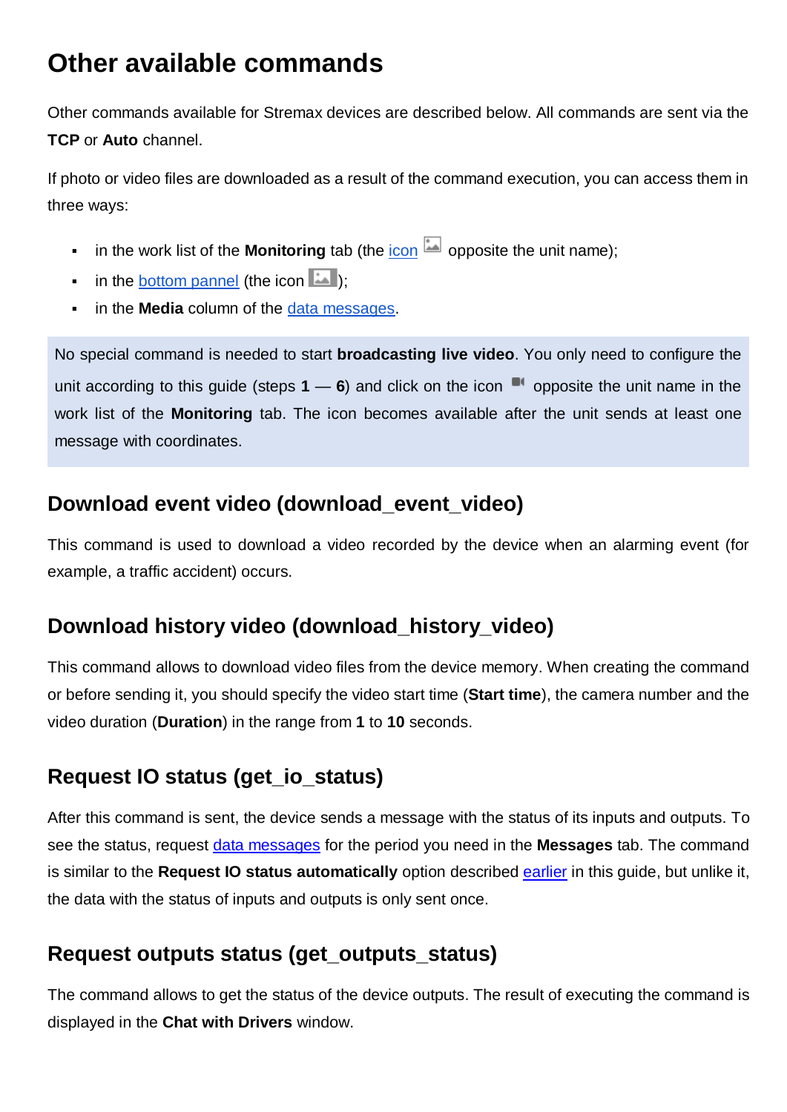# <span id="page-7-0"></span>**Other available commands**

Other commands available for Stremax devices are described below. All commands are sent via the **TCP** or **Auto** channel.

If photo or video files are downloaded as a result of the command execution, you can access them in three ways:

- in the work list of the **Monitoring** tab (the [icon](https://docs.wialon.com/en/hosting/user/monitor/icons#media)  $\boxed{4}$  opposite the unit name);
- **•** in the [bottom pannel](https://docs.wialon.com/en/hosting/user/gui/bottom) (the icon  $\mathbb{L}$ );
- **in the Media** column of the [data messages.](https://docs.wialon.com/en/hosting/user/msg/data#data_messages)

No special command is needed to start **broadcasting live video**. You only need to configure the unit according to this guide (steps  $1 - 6$ ) and click on the icon  $\blacksquare$  opposite the unit name in the work list of the **Monitoring** tab. The icon becomes available after the unit sends at least one message with coordinates.

#### **Download event video (download\_event\_video)**

This command is used to download a video recorded by the device when an alarming event (for example, a traffic accident) occurs.

#### **Download history video (download\_history\_video)**

This command allows to download video files from the device memory. When creating the command or before sending it, you should specify the video start time (**Start time**), the camera number and the video duration (**Duration**) in the range from **1** to **10** seconds.

## **Request IO status (get\_io\_status)**

After this command is sent, the device sends a message with the status of its inputs and outputs. To see the status, request [data messages](https://docs.wialon.com/en/hosting/user/msg/data#data_messages) for the period you need in the **Messages** tab. The command is similar to the **Request IO status automatically** option described [earlier](#page-2-0) in this guide, but unlike it, the data with the status of inputs and outputs is only sent once.

## **Request outputs status (get\_outputs\_status)**

The command allows to get the status of the device outputs. The result of executing the command is displayed in the **Chat with Drivers** window.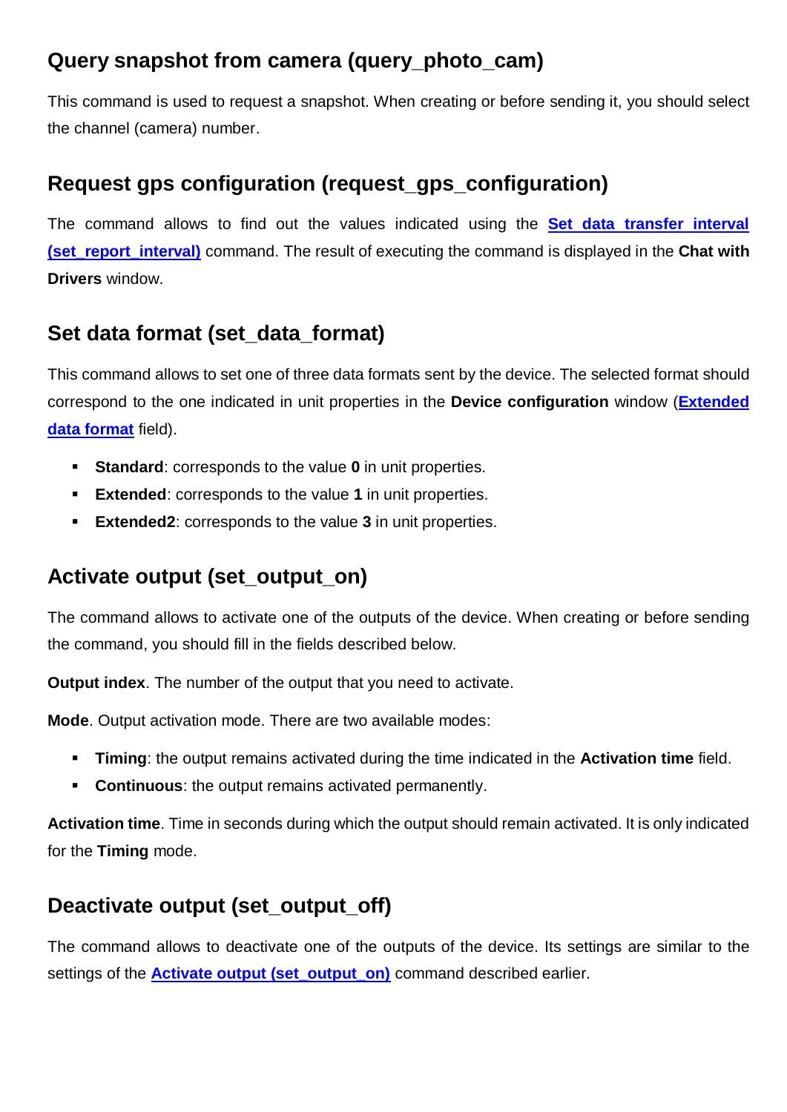#### **Query snapshot from camera (query\_photo\_cam)**

This command is used to request a snapshot. When creating or before sending it, you should select the channel (camera) number.

#### **Request gps configuration (request\_gps\_configuration)**

The command allows to find out the values indicated using the **[Set data transfer interval](#page-9-0)  [\(set\\_report\\_interval\)](#page-9-0)** command. The result of executing the command is displayed in the **Chat with Drivers** window.

#### **Set data format (set\_data\_format)**

This command allows to set one of three data formats sent by the device. The selected format should correspond to the one indicated in unit properties in the **Device configuration** window (**[Extended](#page-2-1)  [data format](#page-2-1)** field).

- **Standard**: corresponds to the value **0** in unit properties.
- **Extended**: corresponds to the value **1** in unit properties.
- **Extended2**: corresponds to the value **3** in unit properties.

#### <span id="page-8-0"></span>**Activate output (set\_output\_on)**

The command allows to activate one of the outputs of the device. When creating or before sending the command, you should fill in the fields described below.

**Output index**. The number of the output that you need to activate.

**Mode**. Output activation mode. There are two available modes:

- **Timing**: the output remains activated during the time indicated in the **Activation time** field.
- **Continuous**: the output remains activated permanently.

**Activation time**. Time in seconds during which the output should remain activated. It is only indicated for the **Timing** mode.

#### **Deactivate output (set\_output\_off)**

The command allows to deactivate one of the outputs of the device. Its settings are similar to the settings of the **Activate output (set output on)** command described earlier.